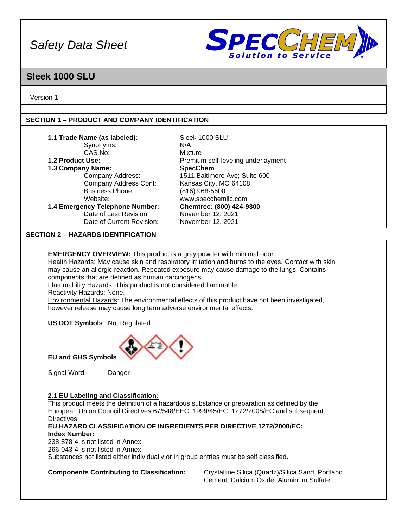

### **Sleek 1000 SLU**

Version 1

#### **SECTION 1 – PRODUCT AND COMPANY IDENTIFICATION**

| 1.1 Trade Name (as labeled):              | Sleek 1000 SLU                     |
|-------------------------------------------|------------------------------------|
| Synonyms:                                 | N/A                                |
| CAS No:                                   | Mixture                            |
| 1.2 Product Use:                          | Premium self-leveling underlayment |
| 1.3 Company Name:                         | <b>SpecChem</b>                    |
| Company Address:                          | 1511 Baltimore Ave; Suite 600      |
| Company Address Cont:                     | Kansas City, MO 64108              |
| <b>Business Phone:</b>                    | $(816)$ 968-5600                   |
| Website:                                  | www.specchemllc.com                |
| 1.4 Emergency Telephone Number:           | Chemtrec: (800) 424-9300           |
| Date of Last Revision:                    | November 12, 2021                  |
| Date of Current Revision:                 | November 12, 2021                  |
| <b>SECTION 2 – HAZARDS IDENTIFICATION</b> |                                    |

**EMERGENCY OVERVIEW:** This product is a gray powder with minimal odor.

Health Hazards: May cause skin and respiratory irritation and burns to the eyes. Contact with skin may cause an allergic reaction. Repeated exposure may cause damage to the lungs. Contains components that are defined as human carcinogens.

Flammability Hazards: This product is not considered flammable.

Reactivity Hazards: None.

Environmental Hazards: The environmental effects of this product have not been investigated, however release may cause long term adverse environmental effects.

**US DOT Symbols** Not Regulated



**EU and GHS Symbols**

Signal Word Danger

#### **2.1 EU Labeling and Classification:**

This product meets the definition of a hazardous substance or preparation as defined by the European Union Council Directives 67/548/EEC, 1999/45/EC, 1272/2008/EC and subsequent Directives.

#### **EU HAZARD CLASSIFICATION OF INGREDIENTS PER DIRECTIVE 1272/2008/EC: Index Number:**

238-878-4 is not listed in Annex I 266-043-4 is not listed in Annex I Substances not listed either individually or in group entries must be self classified.

**Components Contributing to Classification:** Crystalline Silica (Quartz)/Silica Sand, Portland Cement, Calcium Oxide, Aluminum Sulfate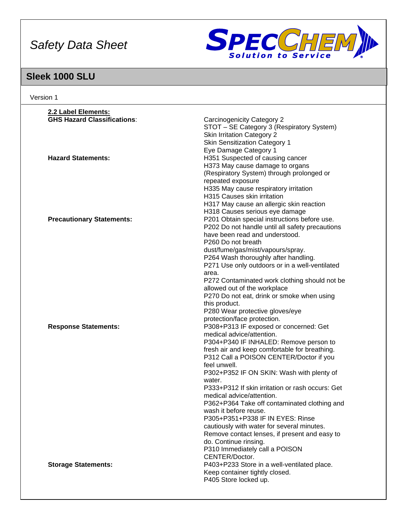

# **Sleek 1000 SLU**

| Version 1                          |                                                            |
|------------------------------------|------------------------------------------------------------|
| 2.2 Label Elements:                |                                                            |
| <b>GHS Hazard Classifications:</b> | Carcinogenicity Category 2                                 |
|                                    | STOT - SE Category 3 (Respiratory System)                  |
|                                    | <b>Skin Irritation Category 2</b>                          |
|                                    | <b>Skin Sensitization Category 1</b>                       |
|                                    | Eye Damage Category 1                                      |
| <b>Hazard Statements:</b>          | H351 Suspected of causing cancer                           |
|                                    | H373 May cause damage to organs                            |
|                                    | (Respiratory System) through prolonged or                  |
|                                    | repeated exposure                                          |
|                                    | H335 May cause respiratory irritation                      |
|                                    | H315 Causes skin irritation                                |
|                                    | H317 May cause an allergic skin reaction                   |
|                                    | H318 Causes serious eye damage                             |
| <b>Precautionary Statements:</b>   | P201 Obtain special instructions before use.               |
|                                    | P202 Do not handle until all safety precautions            |
|                                    | have been read and understood.                             |
|                                    | P260 Do not breath                                         |
|                                    | dust/fume/gas/mist/vapours/spray.                          |
|                                    | P264 Wash thoroughly after handling.                       |
|                                    | P271 Use only outdoors or in a well-ventilated             |
|                                    | area.                                                      |
|                                    | P272 Contaminated work clothing should not be              |
|                                    | allowed out of the workplace                               |
|                                    | P270 Do not eat, drink or smoke when using                 |
|                                    | this product.                                              |
|                                    | P280 Wear protective gloves/eye                            |
|                                    | protection/face protection.                                |
| <b>Response Statements:</b>        | P308+P313 IF exposed or concerned: Get                     |
|                                    | medical advice/attention.                                  |
|                                    | P304+P340 IF INHALED: Remove person to                     |
|                                    | fresh air and keep comfortable for breathing.              |
|                                    | P312 Call a POISON CENTER/Doctor if you                    |
|                                    | feel unwell.                                               |
|                                    | P302+P352 IF ON SKIN: Wash with plenty of                  |
|                                    | water.<br>P333+P312 If skin irritation or rash occurs: Get |
|                                    | medical advice/attention.                                  |
|                                    | P362+P364 Take off contaminated clothing and               |
|                                    | wash it before reuse.                                      |
|                                    | P305+P351+P338 IF IN EYES: Rinse                           |
|                                    | cautiously with water for several minutes.                 |
|                                    | Remove contact lenses, if present and easy to              |
|                                    | do. Continue rinsing.                                      |
|                                    | P310 Immediately call a POISON                             |
|                                    | CENTER/Doctor.                                             |
| <b>Storage Statements:</b>         | P403+P233 Store in a well-ventilated place.                |
|                                    | Keep container tightly closed.                             |
|                                    | P405 Store locked up.                                      |
|                                    |                                                            |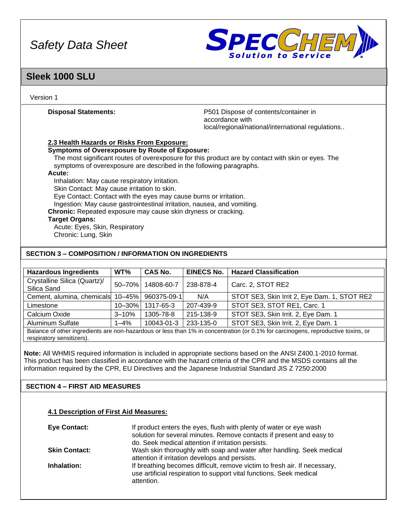

### **Sleek 1000 SLU**

Version 1

**Disposal Statements:** P501 Dispose of contents/container in accordance with local/regional/national/international regulations..

#### **2.3 Health Hazards or Risks From Exposure:**

**Symptoms of Overexposure by Route of Exposure:**

The most significant routes of overexposure for this product are by contact with skin or eyes. The symptoms of overexposure are described in the following paragraphs.

#### **Acute:**

Inhalation: May cause respiratory irritation.

Skin Contact: May cause irritation to skin.

Eye Contact: Contact with the eyes may cause burns or irritation.

Ingestion: May cause gastrointestinal irritation, nausea, and vomiting.

**Chronic:** Repeated exposure may cause skin dryness or cracking.

#### **Target Organs:**

Acute: Eyes, Skin, Respiratory Chronic: Lung, Skin

#### **SECTION 3 – COMPOSITION / INFORMATION ON INGREDIENTS**

| <b>Hazardous Ingredients</b>                                                                                                                                   | WT%         | <b>CAS No.</b> | <b>EINECS No.</b> | <b>Hazard Classification</b>                 |
|----------------------------------------------------------------------------------------------------------------------------------------------------------------|-------------|----------------|-------------------|----------------------------------------------|
| Crystalline Silica (Quartz)/<br>Silica Sand                                                                                                                    | 50-70%      | 14808-60-7     | 238-878-4         | Carc. 2, STOT RE2                            |
| Cement, alumina, chemicals                                                                                                                                     | $10 - 45%$  | 960375-09-1    | N/A               | STOT SE3, Skin Irrit 2, Eye Dam. 1, STOT RE2 |
| Limestone                                                                                                                                                      | $10 - 30\%$ | 1317-65-3      | 207-439-9         | STOT SE3, STOT RE1, Carc. 1                  |
| Calcium Oxide                                                                                                                                                  | $3 - 10%$   | 1305-78-8      | 215-138-9         | STOT SE3, Skin Irrit. 2, Eye Dam. 1          |
| <b>Aluminum Sulfate</b>                                                                                                                                        | $1 - 4%$    | 10043-01-3     | 233-135-0         | STOT SE3, Skin Irrit. 2, Eye Dam. 1          |
| Balance of other ingredients are non-hazardous or less than 1% in concentration (or 0.1% for carcinogens, reproductive toxins, or<br>respiratory sensitizers). |             |                |                   |                                              |

**Note:** All WHMIS required information is included in appropriate sections based on the ANSI Z400.1-2010 format. This product has been classified in accordance with the hazard criteria of the CPR and the MSDS contains all the information required by the CPR, EU Directives and the Japanese Industrial Standard JIS Z 7250:2000

### **SECTION 4 – FIRST AID MEASURES**

#### **4.1 Description of First Aid Measures:**

| <b>Eye Contact:</b>  | If product enters the eyes, flush with plenty of water or eye wash<br>solution for several minutes. Remove contacts if present and easy to<br>do. Seek medical attention if irritation persists. |
|----------------------|--------------------------------------------------------------------------------------------------------------------------------------------------------------------------------------------------|
| <b>Skin Contact:</b> | Wash skin thoroughly with soap and water after handling. Seek medical<br>attention if irritation develops and persists.                                                                          |
| Inhalation:          | If breathing becomes difficult, remove victim to fresh air. If necessary,<br>use artificial respiration to support vital functions. Seek medical<br>attention.                                   |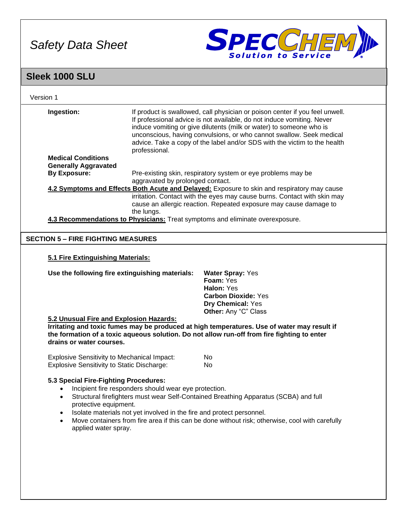

### **Sleek 1000 SLU**

| Version 1                                                                                        |                                                       |                                                                                                                                                                                                                                                                                                                                                                                    |
|--------------------------------------------------------------------------------------------------|-------------------------------------------------------|------------------------------------------------------------------------------------------------------------------------------------------------------------------------------------------------------------------------------------------------------------------------------------------------------------------------------------------------------------------------------------|
| Ingestion:                                                                                       | professional.                                         | If product is swallowed, call physician or poison center if you feel unwell.<br>If professional advice is not available, do not induce vomiting. Never<br>induce vomiting or give dilutents (milk or water) to someone who is<br>unconscious, having convulsions, or who cannot swallow. Seek medical<br>advice. Take a copy of the label and/or SDS with the victim to the health |
| <b>Medical Conditions</b>                                                                        |                                                       |                                                                                                                                                                                                                                                                                                                                                                                    |
| <b>Generally Aggravated</b><br><b>By Exposure:</b>                                               |                                                       |                                                                                                                                                                                                                                                                                                                                                                                    |
|                                                                                                  | aggravated by prolonged contact.                      | Pre-existing skin, respiratory system or eye problems may be                                                                                                                                                                                                                                                                                                                       |
|                                                                                                  |                                                       | 4.2 Symptoms and Effects Both Acute and Delayed: Exposure to skin and respiratory may cause                                                                                                                                                                                                                                                                                        |
|                                                                                                  | the lungs.                                            | irritation. Contact with the eyes may cause burns. Contact with skin may<br>cause an allergic reaction. Repeated exposure may cause damage to                                                                                                                                                                                                                                      |
|                                                                                                  |                                                       | 4.3 Recommendations to Physicians: Treat symptoms and eliminate overexposure.                                                                                                                                                                                                                                                                                                      |
| <b>SECTION 5 - FIRE FIGHTING MEASURES</b>                                                        |                                                       |                                                                                                                                                                                                                                                                                                                                                                                    |
|                                                                                                  |                                                       |                                                                                                                                                                                                                                                                                                                                                                                    |
| 5.1 Fire Extinguishing Materials:                                                                |                                                       |                                                                                                                                                                                                                                                                                                                                                                                    |
|                                                                                                  |                                                       |                                                                                                                                                                                                                                                                                                                                                                                    |
| Use the following fire extinguishing materials:                                                  |                                                       | <b>Water Spray: Yes</b>                                                                                                                                                                                                                                                                                                                                                            |
|                                                                                                  |                                                       | Foam: Yes                                                                                                                                                                                                                                                                                                                                                                          |
|                                                                                                  |                                                       | Halon: Yes                                                                                                                                                                                                                                                                                                                                                                         |
|                                                                                                  |                                                       | <b>Carbon Dioxide: Yes</b><br>Dry Chemical: Yes                                                                                                                                                                                                                                                                                                                                    |
|                                                                                                  |                                                       | Other: Any "C" Class                                                                                                                                                                                                                                                                                                                                                               |
| 5.2 Unusual Fire and Explosion Hazards:                                                          |                                                       |                                                                                                                                                                                                                                                                                                                                                                                    |
|                                                                                                  |                                                       | Irritating and toxic fumes may be produced at high temperatures. Use of water may result if                                                                                                                                                                                                                                                                                        |
|                                                                                                  |                                                       | the formation of a toxic aqueous solution. Do not allow run-off from fire fighting to enter                                                                                                                                                                                                                                                                                        |
| drains or water courses.                                                                         |                                                       |                                                                                                                                                                                                                                                                                                                                                                                    |
|                                                                                                  |                                                       |                                                                                                                                                                                                                                                                                                                                                                                    |
| <b>Explosive Sensitivity to Mechanical Impact:</b><br>Explosive Sensitivity to Static Discharge: |                                                       | No<br>No                                                                                                                                                                                                                                                                                                                                                                           |
|                                                                                                  |                                                       |                                                                                                                                                                                                                                                                                                                                                                                    |
| 5.3 Special Fire-Fighting Procedures:                                                            |                                                       |                                                                                                                                                                                                                                                                                                                                                                                    |
|                                                                                                  | Incipient fire responders should wear eye protection. |                                                                                                                                                                                                                                                                                                                                                                                    |
| protective equipment.                                                                            |                                                       | Structural firefighters must wear Self-Contained Breathing Apparatus (SCBA) and full                                                                                                                                                                                                                                                                                               |
|                                                                                                  |                                                       | Isolate materials not yet involved in the fire and protect personnel.                                                                                                                                                                                                                                                                                                              |
| applied water spray.                                                                             |                                                       | Move containers from fire area if this can be done without risk; otherwise, cool with carefully                                                                                                                                                                                                                                                                                    |
|                                                                                                  |                                                       |                                                                                                                                                                                                                                                                                                                                                                                    |
|                                                                                                  |                                                       |                                                                                                                                                                                                                                                                                                                                                                                    |
|                                                                                                  |                                                       |                                                                                                                                                                                                                                                                                                                                                                                    |
|                                                                                                  |                                                       |                                                                                                                                                                                                                                                                                                                                                                                    |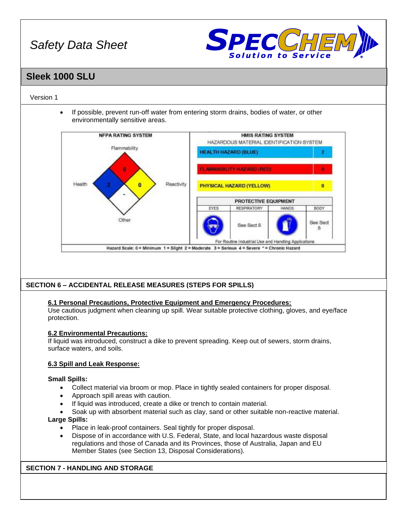

### **Sleek 1000 SLU**

#### Version 1

• If possible, prevent run-off water from entering storm drains, bodies of water, or other environmentally sensitive areas.



### **SECTION 6 – ACCIDENTAL RELEASE MEASURES (STEPS FOR SPILLS)**

#### **6.1 Personal Precautions, Protective Equipment and Emergency Procedures:**

Use cautious judgment when cleaning up spill. Wear suitable protective clothing, gloves, and eye/face protection.

#### **6.2 Environmental Precautions:**

If liquid was introduced, construct a dike to prevent spreading. Keep out of sewers, storm drains, surface waters, and soils.

#### **6.3 Spill and Leak Response:**

#### **Small Spills:**

- Collect material via broom or mop. Place in tightly sealed containers for proper disposal.
- Approach spill areas with caution.
- If liquid was introduced, create a dike or trench to contain material.
- Soak up with absorbent material such as clay, sand or other suitable non-reactive material.

#### **Large Spills:**

- Place in leak-proof containers. Seal tightly for proper disposal.
- Dispose of in accordance with U.S. Federal, State, and local hazardous waste disposal regulations and those of Canada and its Provinces, those of Australia, Japan and EU Member States (see Section 13, Disposal Considerations).

#### **SECTION 7 - HANDLING AND STORAGE**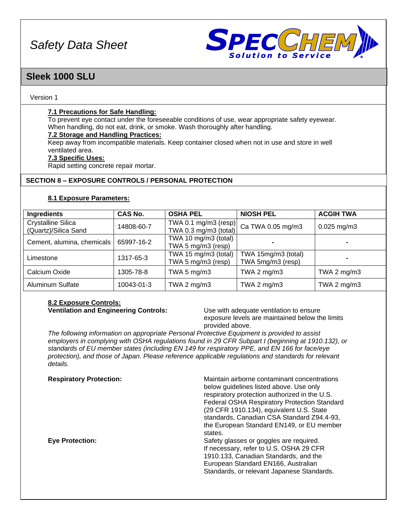

### **Sleek 1000 SLU**

#### Version 1

#### **7.1 Precautions for Safe Handling:**

To prevent eye contact under the foreseeable conditions of use, wear appropriate safety eyewear. When handling, do not eat, drink, or smoke. Wash thoroughly after handling.

#### **7.2 Storage and Handling Practices:**

Keep away from incompatible materials. Keep container closed when not in use and store in well ventilated area.

#### **7.3 Specific Uses:**

Rapid setting concrete repair mortar.

#### **SECTION 8 – EXPOSURE CONTROLS / PERSONAL PROTECTION**

#### **8.1 Exposure Parameters:**

| Ingredients                                       | <b>CAS No.</b> | <b>OSHA PEL</b>                               | <b>NIOSH PEL</b>                         | <b>ACGIH TWA</b> |
|---------------------------------------------------|----------------|-----------------------------------------------|------------------------------------------|------------------|
| <b>Crystalline Silica</b><br>(Quartz)/Silica Sand | 14808-60-7     | TWA 0.1 mg/m3 (resp)<br>TWA 0.3 mg/m3 (total) | Ca TWA 0.05 mg/m3                        | $0.025$ mg/m3    |
| Cement, alumina, chemicals                        | 65997-16-2     | TWA 10 mg/m3 (total)<br>TWA 5 mg/m3 (resp)    |                                          |                  |
| Limestone                                         | 1317-65-3      | TWA 15 mg/m3 (total)<br>TWA 5 mg/m3 (resp)    | TWA 15mg/m3 (total)<br>TWA 5mg/m3 (resp) |                  |
| Calcium Oxide                                     | 1305-78-8      | TWA 5 mg/m3                                   | TWA 2 $mg/m3$                            | TWA 2 $mg/m3$    |
| <b>Aluminum Sulfate</b>                           | 10043-01-3     | TWA 2 mg/m3                                   | TWA 2 $mg/m3$                            | TWA 2 $mg/m3$    |

#### **8.2 Exposure Controls: Ventilation and Engineering Controls:** Use with adequate ventilation to ensure

exposure levels are maintained below the limits provided above.

*The following information on appropriate Personal Protective Equipment is provided to assist employers in complying with OSHA regulations found in 29 CFR Subpart I (beginning at 1910.132), or standards of EU member states (including EN 149 for respiratory PPE, and EN 166 for face/eye protection), and those of Japan. Please reference applicable regulations and standards for relevant details.*

| <b>Respiratory Protection:</b> | Maintain airborne contaminant concentrations<br>below guidelines listed above. Use only<br>respiratory protection authorized in the U.S.<br><b>Federal OSHA Respiratory Protection Standard</b><br>(29 CFR 1910.134), equivalent U.S. State<br>standards, Canadian CSA Standard Z94.4-93,<br>the European Standard EN149, or EU member<br>states. |
|--------------------------------|---------------------------------------------------------------------------------------------------------------------------------------------------------------------------------------------------------------------------------------------------------------------------------------------------------------------------------------------------|
| <b>Eye Protection:</b>         | Safety glasses or goggles are required.<br>If necessary, refer to U.S. OSHA 29 CFR<br>1910.133, Canadian Standards, and the<br>European Standard EN166, Australian<br>Standards, or relevant Japanese Standards.                                                                                                                                  |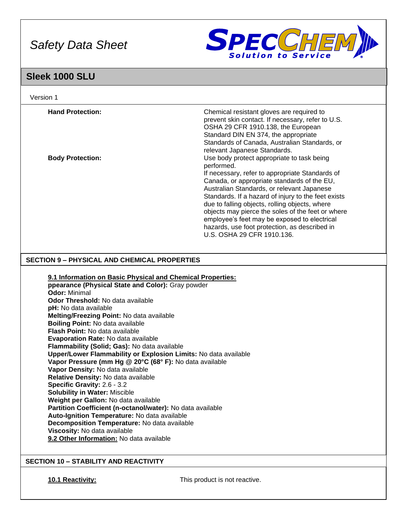

### **Sleek 1000 SLU**

| Version 1                                                                                                                                                                                                                                                                                                                                                                                                                                                                                                                                                                                                                                                                                                                                                                                                                                                                                                                                                                                |                                                                                                                                                                                                                                                                                                                                                                                                                                                                                                                                       |
|------------------------------------------------------------------------------------------------------------------------------------------------------------------------------------------------------------------------------------------------------------------------------------------------------------------------------------------------------------------------------------------------------------------------------------------------------------------------------------------------------------------------------------------------------------------------------------------------------------------------------------------------------------------------------------------------------------------------------------------------------------------------------------------------------------------------------------------------------------------------------------------------------------------------------------------------------------------------------------------|---------------------------------------------------------------------------------------------------------------------------------------------------------------------------------------------------------------------------------------------------------------------------------------------------------------------------------------------------------------------------------------------------------------------------------------------------------------------------------------------------------------------------------------|
| <b>Hand Protection:</b>                                                                                                                                                                                                                                                                                                                                                                                                                                                                                                                                                                                                                                                                                                                                                                                                                                                                                                                                                                  | Chemical resistant gloves are required to<br>prevent skin contact. If necessary, refer to U.S.<br>OSHA 29 CFR 1910.138, the European<br>Standard DIN EN 374, the appropriate<br>Standards of Canada, Australian Standards, or                                                                                                                                                                                                                                                                                                         |
| <b>Body Protection:</b>                                                                                                                                                                                                                                                                                                                                                                                                                                                                                                                                                                                                                                                                                                                                                                                                                                                                                                                                                                  | relevant Japanese Standards.<br>Use body protect appropriate to task being<br>performed.<br>If necessary, refer to appropriate Standards of<br>Canada, or appropriate standards of the EU,<br>Australian Standards, or relevant Japanese<br>Standards. If a hazard of injury to the feet exists<br>due to falling objects, rolling objects, where<br>objects may pierce the soles of the feet or where<br>employee's feet may be exposed to electrical<br>hazards, use foot protection, as described in<br>U.S. OSHA 29 CFR 1910.136. |
| <b>SECTION 9 - PHYSICAL AND CHEMICAL PROPERTIES</b>                                                                                                                                                                                                                                                                                                                                                                                                                                                                                                                                                                                                                                                                                                                                                                                                                                                                                                                                      |                                                                                                                                                                                                                                                                                                                                                                                                                                                                                                                                       |
| 9.1 Information on Basic Physical and Chemical Properties:<br>ppearance (Physical State and Color): Gray powder<br><b>Odor: Minimal</b><br><b>Odor Threshold: No data available</b><br>pH: No data available<br>Melting/Freezing Point: No data available<br>Boiling Point: No data available<br>Flash Point: No data available<br>Evaporation Rate: No data available<br>Flammability (Solid; Gas): No data available<br>Upper/Lower Flammability or Explosion Limits: No data available<br>Vapor Pressure (mm Hg @ 20°C (68° F): No data available<br>Vapor Density: No data available<br>Relative Density: No data available<br>Specific Gravity: 2.6 - 3.2<br><b>Solubility in Water: Miscible</b><br>Weight per Gallon: No data available<br>Partition Coefficient (n-octanol/water): No data available<br>Auto-Ignition Temperature: No data available<br>Decomposition Temperature: No data available<br>Viscosity: No data available<br>9.2 Other Information: No data available |                                                                                                                                                                                                                                                                                                                                                                                                                                                                                                                                       |
| <b>SECTION 10 - STABILITY AND REACTIVITY</b>                                                                                                                                                                                                                                                                                                                                                                                                                                                                                                                                                                                                                                                                                                                                                                                                                                                                                                                                             |                                                                                                                                                                                                                                                                                                                                                                                                                                                                                                                                       |

**10.1 Reactivity:** This product is not reactive.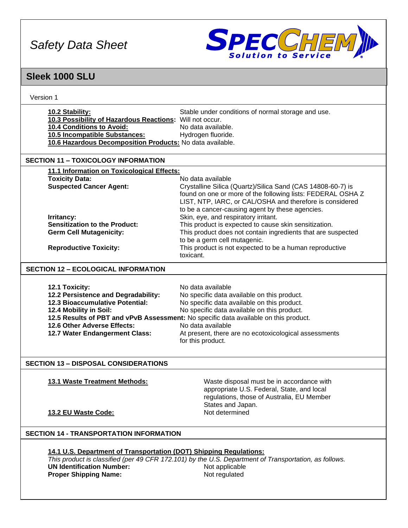

## **Sleek 1000 SLU**

| Version 1                                                          |                                                                                                           |  |  |
|--------------------------------------------------------------------|-----------------------------------------------------------------------------------------------------------|--|--|
| 10.2 Stability:                                                    | Stable under conditions of normal storage and use.                                                        |  |  |
| 10.3 Possibility of Hazardous Reactions: Will not occur.           |                                                                                                           |  |  |
| 10.4 Conditions to Avoid:                                          | No data available.                                                                                        |  |  |
| 10.5 Incompatible Substances:                                      | Hydrogen fluoride.                                                                                        |  |  |
| 10.6 Hazardous Decomposition Products: No data available.          |                                                                                                           |  |  |
|                                                                    |                                                                                                           |  |  |
| <b>SECTION 11 - TOXICOLOGY INFORMATION</b>                         |                                                                                                           |  |  |
| 11.1 Information on Toxicological Effects:                         |                                                                                                           |  |  |
| <b>Toxicity Data:</b>                                              | No data available                                                                                         |  |  |
| <b>Suspected Cancer Agent:</b>                                     | Crystalline Silica (Quartz)/Silica Sand (CAS 14808-60-7) is                                               |  |  |
|                                                                    | found on one or more of the following lists: FEDERAL OSHA Z                                               |  |  |
|                                                                    | LIST, NTP, IARC, or CAL/OSHA and therefore is considered                                                  |  |  |
|                                                                    | to be a cancer-causing agent by these agencies.                                                           |  |  |
| Irritancy:                                                         | Skin, eye, and respiratory irritant.                                                                      |  |  |
| <b>Sensitization to the Product:</b>                               | This product is expected to cause skin sensitization.                                                     |  |  |
| <b>Germ Cell Mutagenicity:</b>                                     | This product does not contain ingredients that are suspected                                              |  |  |
|                                                                    | to be a germ cell mutagenic.                                                                              |  |  |
| <b>Reproductive Toxicity:</b>                                      | This product is not expected to be a human reproductive                                                   |  |  |
|                                                                    | toxicant.                                                                                                 |  |  |
| <b>SECTION 12 - ECOLOGICAL INFORMATION</b>                         |                                                                                                           |  |  |
|                                                                    |                                                                                                           |  |  |
| 12.1 Toxicity:                                                     | No data available                                                                                         |  |  |
| 12.2 Persistence and Degradability:                                | No specific data available on this product.                                                               |  |  |
| <b>12.3 Bioaccumulative Potential:</b>                             | No specific data available on this product.                                                               |  |  |
| 12.4 Mobility in Soil:                                             | No specific data available on this product.                                                               |  |  |
| 12.6 Other Adverse Effects:                                        | 12.5 Results of PBT and vPvB Assessment: No specific data available on this product.<br>No data available |  |  |
| 12.7 Water Endangerment Class:                                     | At present, there are no ecotoxicological assessments                                                     |  |  |
|                                                                    | for this product.                                                                                         |  |  |
|                                                                    |                                                                                                           |  |  |
| <b>SECTION 13 - DISPOSAL CONSIDERATIONS</b>                        |                                                                                                           |  |  |
| <b>13.1 Waste Treatment Methods:</b>                               | Waste disposal must be in accordance with                                                                 |  |  |
|                                                                    | appropriate U.S. Federal, State, and local                                                                |  |  |
|                                                                    | regulations, those of Australia, EU Member                                                                |  |  |
|                                                                    | States and Japan.                                                                                         |  |  |
| 13.2 EU Waste Code:                                                | Not determined                                                                                            |  |  |
|                                                                    |                                                                                                           |  |  |
| <b>SECTION 14 - TRANSPORTATION INFORMATION</b>                     |                                                                                                           |  |  |
|                                                                    |                                                                                                           |  |  |
| 14.1 U.S. Department of Transportation (DOT) Shipping Regulations: |                                                                                                           |  |  |
|                                                                    | This product is classified (per 49 CFR 172.101) by the U.S. Department of Transportation, as follows.     |  |  |
| <b>UN Identification Number:</b>                                   | Not applicable                                                                                            |  |  |
| <b>Proper Shipping Name:</b>                                       | Not regulated                                                                                             |  |  |
|                                                                    |                                                                                                           |  |  |
|                                                                    |                                                                                                           |  |  |
|                                                                    |                                                                                                           |  |  |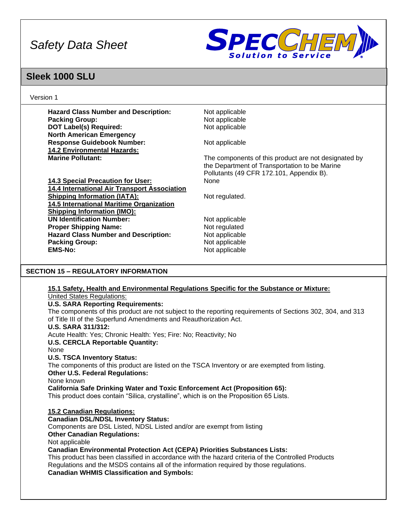

### **Sleek 1000 SLU**

Version 1

**Hazard Class Number and Description:** Not applicable **Packing Group:**  $\qquad \qquad \text{Not applicable}$ **DOT Label(s) Required:** Not applicable **North American Emergency Response Guidebook Number:** Not applicable **14.2 Environmental Hazards: Marine Pollutant: The components of this product are not designated by** The components of this product are not designated by the Department of Transportation to be Marine Pollutants (49 CFR 172.101, Appendix B). **14.3 Special Precaution for User:** None **14.4 International Air Transport Association Shipping Information (IATA):** Not regulated. **14.5 International Maritime Organization Shipping Information (IMO):** UN Identification Number: Not applicable **Proper Shipping Name:** Not regulated **Hazard Class Number and Description:** Not applicable **Packing Group:** Not applicable **EMS-No:** Not applicable **SECTION 15 – REGULATORY INFORMATION**

#### **15.1 Safety, Health and Environmental Regulations Specific for the Substance or Mixture:** United States Regulations:

#### **U.S. SARA Reporting Requirements:**

The components of this product are not subject to the reporting requirements of Sections 302, 304, and 313 of Title III of the Superfund Amendments and Reauthorization Act.

#### **U.S. SARA 311/312:**

Acute Health: Yes; Chronic Health: Yes; Fire: No; Reactivity; No

**U.S. CERCLA Reportable Quantity:**

#### None

#### **U.S. TSCA Inventory Status:**

The components of this product are listed on the TSCA Inventory or are exempted from listing.

#### **Other U.S. Federal Regulations:**

None known

#### **California Safe Drinking Water and Toxic Enforcement Act (Proposition 65):**

This product does contain "Silica, crystalline", which is on the Proposition 65 Lists.

#### **15.2 Canadian Regulations:**

#### **Canadian DSL/NDSL Inventory Status:**

Components are DSL Listed, NDSL Listed and/or are exempt from listing

**Other Canadian Regulations:**

Not applicable

#### **Canadian Environmental Protection Act (CEPA) Priorities Substances Lists:**

This product has been classified in accordance with the hazard criteria of the Controlled Products Regulations and the MSDS contains all of the information required by those regulations. **Canadian WHMIS Classification and Symbols:**